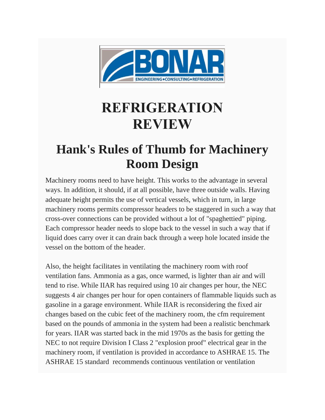

## **REFRIGERATION REVIEW**

## **Hank's Rules of Thumb for Machinery Room Design**

Machinery rooms need to have height. This works to the advantage in several ways. In addition, it should, if at all possible, have three outside walls. Having adequate height permits the use of vertical vessels, which in turn, in large machinery rooms permits compressor headers to be staggered in such a way that cross-over connections can be provided without a lot of "spaghettied" piping. Each compressor header needs to slope back to the vessel in such a way that if liquid does carry over it can drain back through a weep hole located inside the vessel on the bottom of the header.

Also, the height facilitates in ventilating the machinery room with roof ventilation fans. Ammonia as a gas, once warmed, is lighter than air and will tend to rise. While IIAR has required using 10 air changes per hour, the NEC suggests 4 air changes per hour for open containers of flammable liquids such as gasoline in a garage environment. While IIAR is reconsidering the fixed air changes based on the cubic feet of the machinery room, the cfm requirement based on the pounds of ammonia in the system had been a realistic benchmark for years. IIAR was started back in the mid 1970s as the basis for getting the NEC to not require Division I Class 2 "explosion proof" electrical gear in the machinery room, if ventilation is provided in accordance to ASHRAE 15. The ASHRAE 15 standard recommends continuous ventilation or ventilation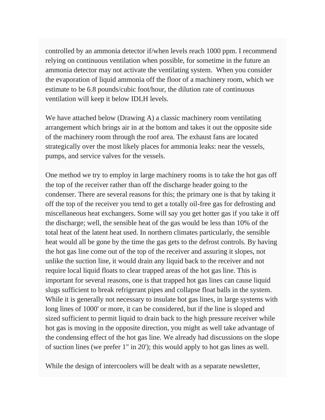controlled by an ammonia detector if/when levels reach 1000 ppm. I recommend relying on continuous ventilation when possible, for sometime in the future an ammonia detector may not activate the ventilating system. When you consider the evaporation of liquid ammonia off the floor of a machinery room, which we estimate to be 6.8 pounds/cubic foot/hour, the dilution rate of continuous ventilation will keep it below IDLH levels.

We have attached below (Drawing A) a classic machinery room ventilating arrangement which brings air in at the bottom and takes it out the opposite side of the machinery room through the roof area. The exhaust fans are located strategically over the most likely places for ammonia leaks: near the vessels, pumps, and service valves for the vessels.

One method we try to employ in large machinery rooms is to take the hot gas off the top of the receiver rather than off the discharge header going to the condenser. There are several reasons for this; the primary one is that by taking it off the top of the receiver you tend to get a totally oil-free gas for defrosting and miscellaneous heat exchangers. Some will say you get hotter gas if you take it off the discharge; well, the sensible heat of the gas would be less than 10% of the total heat of the latent heat used. In northern climates particularly, the sensible heat would all be gone by the time the gas gets to the defrost controls. By having the hot gas line come out of the top of the receiver and assuring it slopes, not unlike the suction line, it would drain any liquid back to the receiver and not require local liquid floats to clear trapped areas of the hot gas line. This is important for several reasons, one is that trapped hot gas lines can cause liquid slugs sufficient to break refrigerant pipes and collapse float balls in the system. While it is generally not necessary to insulate hot gas lines, in large systems with long lines of 1000' or more, it can be considered, but if the line is sloped and sized sufficient to permit liquid to drain back to the high pressure receiver while hot gas is moving in the opposite direction, you might as well take advantage of the condensing effect of the hot gas line. We already had discussions on the slope of suction lines (we prefer 1" in 20'); this would apply to hot gas lines as well.

While the design of intercoolers will be dealt with as a separate newsletter,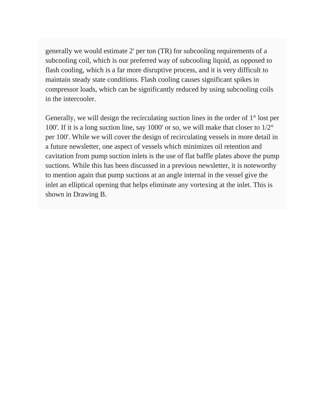generally we would estimate 2' per ton (TR) for subcooling requirements of a subcooling coil, which is our preferred way of subcooling liquid, as opposed to flash cooling, which is a far more disruptive process, and it is very difficult to maintain steady state conditions. Flash cooling causes significant spikes in compressor loads, which can be significantly reduced by using subcooling coils in the intercooler.

Generally, we will design the recirculating suction lines in the order of 1° lost per 100'. If it is a long suction line, say 1000' or so, we will make that closer to 1/2° per 100'. While we will cover the design of recirculating vessels in more detail in a future newsletter, one aspect of vessels which minimizes oil retention and cavitation from pump suction inlets is the use of flat baffle plates above the pump suctions. While this has been discussed in a previous newsletter, it is noteworthy to mention again that pump suctions at an angle internal in the vessel give the inlet an elliptical opening that helps eliminate any vortexing at the inlet. This is shown in Drawing B.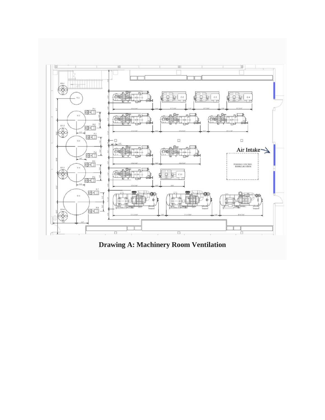

**Drawing A: Machinery Room Ventilation**